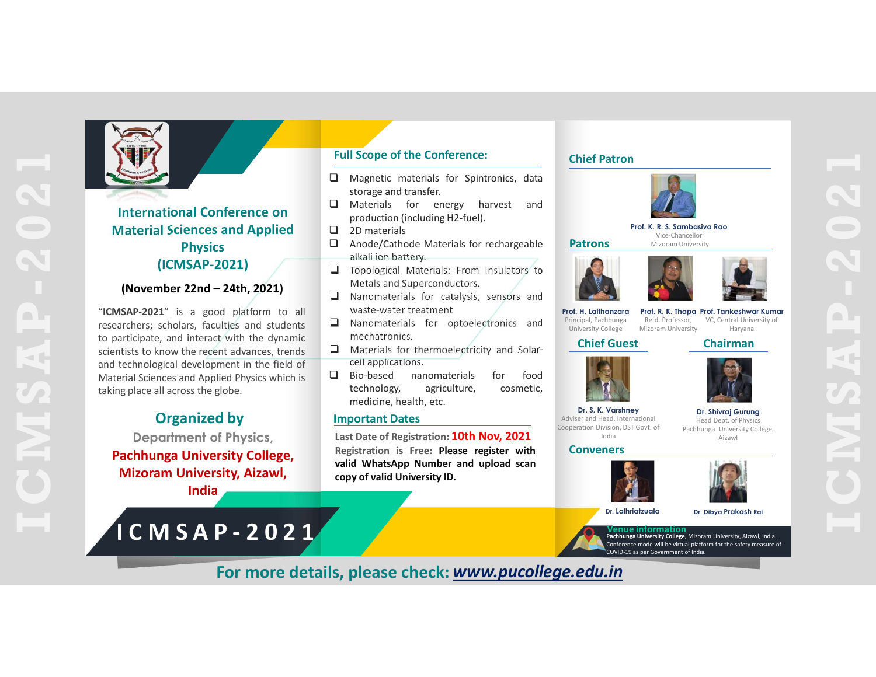

# Material Sciences and Applied **Physics** alkali ion battery.<br> **I** Topological Materials: From Insulators to Full Scope of the Conference:<br>
The Conference:<br>
The Conference content of the Conference:<br>
International Conference on<br>
International Conference on<br>
International Conference on<br>
International Sciences and Applied<br>
Physics<br>

(ICMSAP-2021)<br>
(IRONSAP-2021)<br>
Media Materials: From Insulators<br>
Media Materials: For misulators<br>
Stap-2021)<br>
Manomaterials for catalysis, sensors and<br>
strategy scholars, faculties and students<br>
archers, scholars, facultie Full Scope of the Conference:<br>
International Conference on<br>
International Conference on<br>
International Conference on<br>
Material Sciences and Applied<br>
Physics<br>
Physics<br>
(ICMSAP-2021)<br>
(ICMSAP-2021)<br>
International Conference **EXERCT SET AND THE SURFALL SURFALL SURFALL SURFALL SURFALL SURFALL SURFALL SURFALL SURFALL SURFALL SURFALL SURFALL SURFALL SURFALL SURFALL SURFALL SURFALL SURFALL SURFALL SURFALL SURFALL SURFALL SURFALL SURFALL SURFALL SU** Full Scope of the Conference:<br>
Conference:<br>
International Conference on<br>
Store and transferic materials for Spintronics, data<br>
Store and transferical Sciences and Applied<br>
(ICMSAP-2021)<br>
(November 22nd – 24th, 2021)<br>
"CONS **EVALUATE SCIENCISE CONSULTER SCIENCISE AND THE CONSULTER SCIENCISE AND TRIPPORT OF A THE RECENT ADVISED AND TRIPPORT OF A THE RECENT ADVISED AND TRIPPORT OF A THE RECENT ADVISED AND TRIPPORT OF A THE RECENT ADVISED AND TR Example 19**<br> **Example 19**<br> **Example 19**<br> **Example 19**<br> **Example 19**<br> **Example 19**<br> **Example 19**<br> **Example 19**<br> **Example 19**<br> **Example 19**<br> **Example 19**<br> **Example 19**<br> **Example 19**<br> **Example 19**<br> **Example 19**<br> **Example 199 EXERENT SCHOOL CONSERVATE CONSERVATE (SCIENCE)**<br>
Material Sciences and Applied Stronge and transfer<br>
International Conference on<br>
Material Sciences and Applied<br>
Physics Physics 2021)<br>
(ICMSAP-2021) and the distribution in **Example 19**<br> **Example 2014**<br> **Example 2014**<br> **Example 2014**<br> **Example 2014**<br> **Example 2014**<br> **Example 2014**<br> **Example 2014**<br> **Example 2014**<br> **Example 2014**<br> **Example 2014**<br> **Example 2014**<br> **Example 22nd – 24th, 2021**<br> **Ex** 

# Organized by

Mizoram University, Aizawl, and the copy of valid University ID. India

# Full Scope of the Conference:

- 
- International Conference on **D** Materials for energy harvest production (including H2-fuel).
	-
- **Scope of the Conference:**<br>
Magnetic materials for Spintronics, data<br>
storage and transfer.<br>
Materials for energy havest and<br>
production (including H2-fue).<br>
2D materials<br>
Anode/Cathode Materials for rechargeable<br>
Patrons
- 2D materials Scope of the Conference:<br>
Magnetic materials for Spintronics, data<br>
storage and transfer.<br>
Materials for energy harvest and<br>
2D materials for centary havest and<br>
alkali ion battery.<br>
Topological Materials: From Insulators Compare the Conference:<br>
Magnetic materials for Spintronics, data<br>
Interesting and transfer.<br>
Macherals and Conference:<br>
Macherals and Superconductors.<br>
Alcal ion battery.<br>
Alcal ion battery.<br>
Metals and Superconductors.<br>
	-
	- mechatronics.
	-
- Compare the Conference:<br>
Magnetic materials for Spintronics, data<br>
atorage and transfer.<br>
Andreilas for energy harvest and<br>
production (including H2-fuel).<br>
2D materials for cell approached Materials for rechargeable<br>
Alta

### Important Dates

I Scope of the Conference:<br>
Magnetic materials for Spintronics, data<br>
Materials for energy harvest and<br>
Individualis for energy harvest and<br>
Directation (including H2-fuel).<br>
Materials for calculated Materials for recharge Department of Physics, Last Date of Registration: 10th Nov, 2021 Pachhunga University College,<br>
valid WhatsApp Number and upload scan Materials for energy harvest and<br>
production (including H2-fuel).<br>
Another and a Distribution (including H2-fuel).<br>
and a Distribution Materials for rechargeable<br>
altail ion battery.<br>
altail ion battery.<br>
altail ion batter

### Chief Patron



Vice-Chancellor





Principal, Pachhunga Retd. Professor,<br>University College Mizoram University

Prof. H. Lalthanzara Prof. R. K. Thapa University College Mizoram University Haryana and The College Mizoram University Haryana Retd. Professor, VC, Central University of The Contral Library of Haryana

Chief Guest Chairman



Dr. S. K. Varshney Dr. Shivraj Gurung Adviser and Head, International Cooperation Division, DST Govt. of India Aizawl Head Dept. of Physics Pachhunga University College,

### Conveners





Dr. Lalhriatzuala Dr. Dibya Prakash Rai

Venue information Pachhunga University College, Mizoram University, Aizawl, India. Conference mode will be virtual platform for the safety measure of

For more details, please check: www.pucollege.edu.in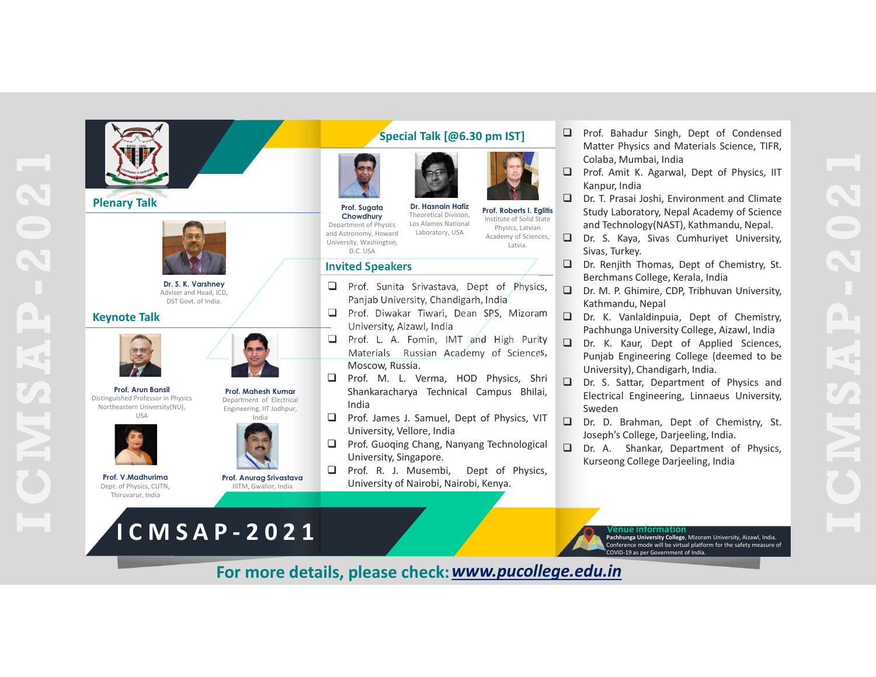



Distinguished Professor in Physics



Dept. of Physics, CUTN, Thiruvarur, India





**Chowdhury** Theoretical Division,<br>artment of Physics Los Alamos National Department of Physics Los Alamos National<br>and Astronomy. Howard Laboratory, USA and Astronomy, Howard

**Prof. Sugata** Dr. Hasnain Hafiz Prof. Roberts I. Eglitis<br>Chowdbury Theoretical Division. Theoretical Division, Theoretical Division, Institute of Solid State **SLUCIV LADO** Physics, Latvian Academy of Sciences, Latvia.

## Invited Speakers

- 
- 
- 
- Special Talk [@6.30 pm IST]<br>
Moscow Russia. The Colaba, Mumbai, India<br>
Moscow Colaba, Mumbai, India<br>
Moscow, Russia. The Colaba and Technology (NAS), Environment and Colaba, Numbai, India<br>
Moscow, Russia. The Colaba and Te India Example the mean of Free Stainers (Dependent of Physics, Capital in the Station Hermann (Free Stainers and Technology(NAST), Kathmandu, Ney Capital in the Capital in the Capital in the Capital in the Capital in the Capital Fort, Columbus and the columbus and the columbus and the columbus and the columbus and the columbus and the columbus and the columbus and the columbus and the columbus and the columbus and the columbus and the columbus and Prof. Mahesh Kumar Shankaracharya Technical Campus Bhilai,
	- India **Q Prof. James J. Samuel, Dept of Physics, VIT** 
		-
- IIITM, Gwalior, India **New York Duriversity of Nairobi, Nairobi, Kenya.** Prof. V. Madhurima<br>Prof. Anurga Srivastava<br>Prof. Anurga Srivastava<br>Antara Anurga Srivastava<br>Antara Anurga Srivastava
- Special Talk [@6.30 pm IST]<br>
Mercel Matter Physics and Materials Science, TIFR,<br>
Calaba, Mumbal, India<br>
Calaba, Mumbal, India<br>
Dent. Ampar, India<br>
Dent. Ampar, India<br>
Dent. Ampar, India<br>
Dent. T. Prassi Joshim, Wapal Acade Special Talk (@6.30 pm IST)<br>
Mother Physics and Materials Science, TIFR,<br>
Mother Physics and Materials Science, TIFR,<br>
Mother Physics, IIT<br>
Mother American Condensity, USA<br>
Mother Air Research Condensity, USA<br>
Mother Air R Special Talk  $[@6.30 \text{ pm } IST]$   $\Box$  Prof. Bahadur Singh, Dept of Condensed Matter Physics and Materials Science, TIFR, Special Talk [@6.30 pm IST]<br>
Matter Physics and Materials Science, TIFR,<br>
Colaba, Muntbail, India<br>
Prof. Manadur Singh, Dept of Condensed<br>
Dr. T. Pracal Josh, Environment and Climate<br>
Prof. Special Talk (@6.30 pm IST]<br>
Dr. **al Talk [@6.30 pm IST]**<br> **D** Prof. Bahadur Singh, Dept of Condensed<br>
Matter Physics and Materials Science, TIFR,<br>
Colaba, Mumbai, India<br> **Doct. Amit K. Agarwal, Dept of Physics, IIT**<br> **Example of Solid State**<br> **Example of** <table>\n<tbody>\n<tr>\n<th>□ Prof. Bahadur Singh, Dept of Condensed</th>\n</tr>\n<tr>\n<td>Matter Physics and Materials Science, TIFR, Colaba, Mumbai, India</td>\n</tr>\n<tr>\n<td>□ Prof. Amit K. Agarwal, Dept of Physics, IIT<br/>Kanpur, India</td>\n</tr>\n<tr>\n<td>□ Dr. T. Prasai Joshi, Environment and climate<br/>Study Laboratory, Nepal Academy of Science</td>\n</tr>\n</tbody>\n</table> Prof. Bahadur Singh, Dept of Condensed<br>Matter Physics and Materials Science, TIFR,<br>Colaba, Mumbai, India<br>Prof. Amit K. Agarwal, Dept of Physics, IIT<br>Kanpur, India<br>Dr. T. Prasai Joshi, Environment and Climate<br>Study Laborato Prof. Bahadur Singh, Dept of Condensed<br>Matter Physics and Materials Science, TIFR,<br>Colaba, Mumbai, India<br>Prof. Amit K. Agarwal, Dept of Physics, IIT<br>Kanpur, India<br>Dr. T. Prasai Joshi, Environment and Climate<br>Study Laborato <table>\n<tbody>\n<tr>\n<th>□ Prof. Bahadur Singh, Dept of Condensed</th>\n</tr>\n<tr>\n<td>□ Prof. Bahadur Singh, Dept of Condensed</td>\n</tr>\n<tr>\n<td>□ Prof. Amit K. Agarwal, Dept of Physics, IIT</td>\n</tr>\n<tr>\n<td>□ Prof. Amit K. Agarwal, Dept of Physics, IIT</td>\n</tr>\n<tr>\n<td>□ Dr. T. Prasai Joshi, Environment and Climate</td>\n</tr>\n<tr>\n<td>□ Stud Laboratory, Nepal Academody of Science and Technology (NAST), Kathmand, Nepal.</td>\n</tr>\n<tr>\n<td>□ Dr. S. Kaya, Sivas Cumhuriyet University, Sixas, Turkev.</td>\n</tr>\n</tbody>\n</table> Prof. Bahadur Singh, Dept of Condensed<br>Matter Physics and Materials Science, TIFR,<br>Colaba, Mumbai, India<br>Prof. Amit K. Agarwal, Dept of Physics, IIT<br>Kanpur, India<br>Dr. T. Prasai Joshi, Environment and Climate<br>Study Laborato <table>\n<tbody>\n<tr>\n<th>□ Prof. Bahadur Singh, Dept of Condensed</th>\n</tr>\n<tr>\n<td>□ Mot. Bahadur Singh, Dept of Condensed</td>\n</tr>\n<tr>\n<td>Inden, Mumbai, India</td>\n</tr>\n<tr>\n<td>□ Prof. Amit K. Agarwal, Dept of Physics, IIT</td>\n</tr>\n<tr>\n<td>Vaner, India</td>\n</tr>\n<tr>\n<td>□ Dr. T. Prasai Joshi, Environment and climate</td>\n</tr>\n<tr>\n<td>Study Laboratory, Nepal Academy of Science and Technology(NAST), Kathmandu, Nepal.</td>\n</tr>\n<tr>\n<td>□ Dr. S. Kaya, Sivas Cumhuriyet University, Sivas, Turkey.</td>\n</tr>\n<tr>\n<td>□ Dr Prof. Bahadur Singh, Dept of Condensed<br>Matter Physics and Materials Science, TIFR,<br>Colaba, Mumbai, India<br>Prof. Amit K. Agarwal, Dept of Physics, IIT<br>Kanpur, India<br>Dr. T. Prasai Joshi, Environment and Climate<br>Study Laborato
	-
	- and Technology (NAST), Kathmandu, Nepal.<br>  $\square$  Dr. S. Kaya, Sivas Cumhuriyet University, Study Laboratory, Nepal Academy of Science
	-
	-
	-
	-
	-
	- Colaba, Mumbai, India<br>
	The School (Alexandri Hermanni Hermanni Hermanni Hermanni Hermanni Hermanni Hermanni Hermanni Hermanni Hermanni Study Laboratory, Negal Academy of Science<br>
	New School (Alexandri Hermanni Hermanni Her Sweden
		-
		-



For more details, please check: www.pucollege.edu.in